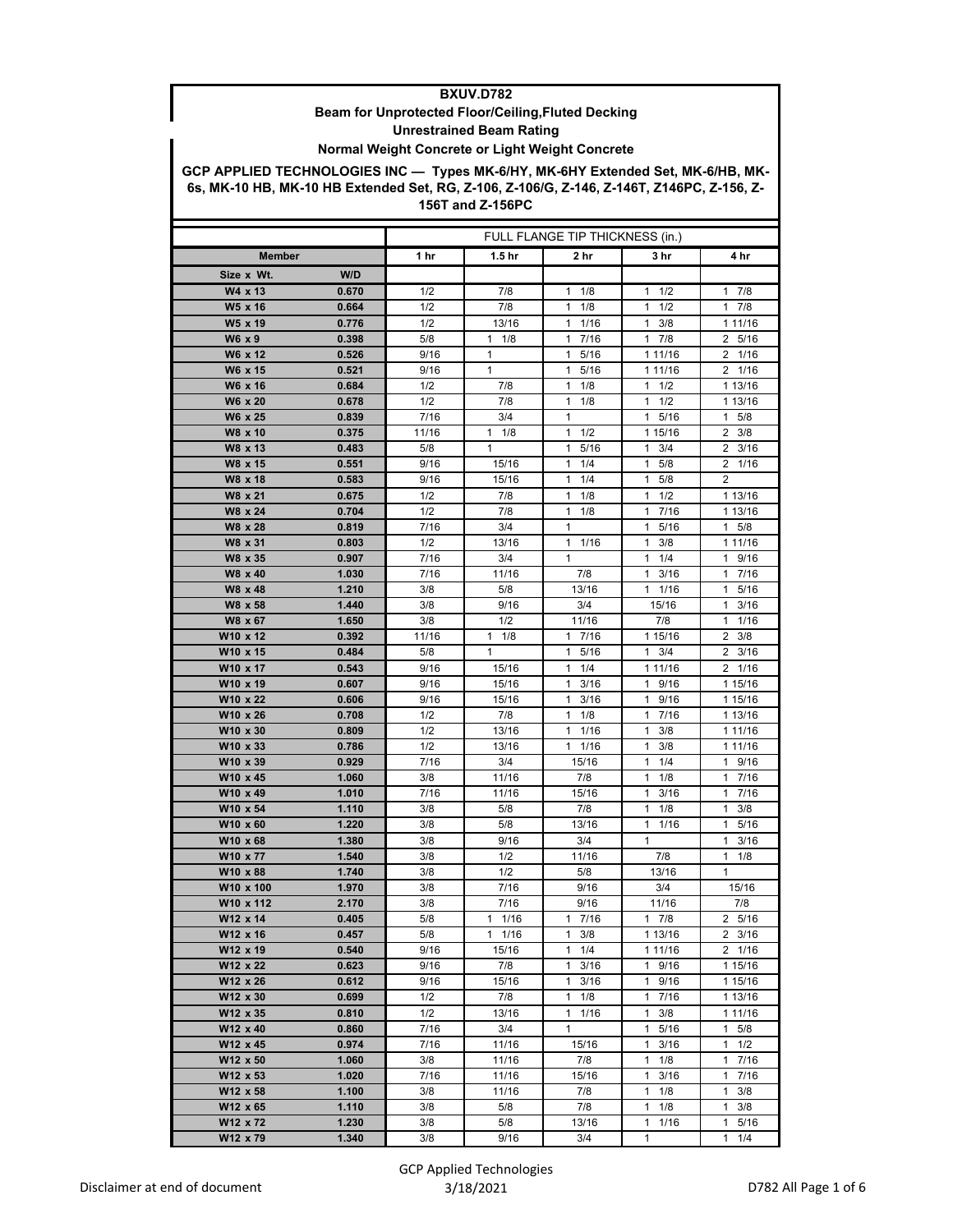## **BXUV.D782**

## **Beam for Unprotected Floor/Ceiling,Fluted Decking Unrestrained Beam Rating**

## **Normal Weight Concrete or Light Weight Concrete**

**GCP APPLIED TECHNOLOGIES INC — Types MK-6/HY, MK-6HY Extended Set, MK-6/HB, MK-6s, MK-10 HB, MK-10 HB Extended Set, RG, Z-106, Z-106/G, Z-146, Z-146T, Z146PC, Z-156, Z-156T and Z-156PC**

|                       |                | FULL FLANGE TIP THICKNESS (in.) |                    |                      |                           |                               |
|-----------------------|----------------|---------------------------------|--------------------|----------------------|---------------------------|-------------------------------|
| Member                |                | 1 hr                            | 1.5 <sub>hr</sub>  | 2 hr                 | 3 hr                      | 4 hr                          |
| Size x Wt.            | W/D            |                                 |                    |                      |                           |                               |
| W4 x 13               | 0.670          | 1/2                             | 7/8                | 1/8<br>1             | 1/2<br>1                  | $\overline{1}$ 7/8            |
| W5 x 16               | 0.664          | 1/2                             | 7/8                | 1/8<br>$\mathbf{1}$  | $1 \t1/2$                 | 17/8                          |
| W5 x 19               | 0.776          | 1/2                             | 13/16              | $1 \t1/16$           | 3/8<br>1                  | 1 1 1 / 16                    |
| W6 x 9                | 0.398          | 5/8                             | $1 \t1/8$          | 17/16                | 17/8                      | 2 5/16                        |
| W6 x 12               | 0.526          | 9/16                            | $\mathbf{1}$       | 5/16<br>1            | 1 11/16                   | 2 1/16                        |
| W6 x 15               | 0.521          | 9/16                            | $\mathbf{1}$       | 5/16<br>$\mathbf{1}$ | 1 11/16                   | 2 1/16                        |
| W6 x 16               | 0.684          | 1/2                             | 7/8                | $1 \t1/8$            | $1 \t1/2$                 | 1 13/16                       |
| W6 x 20               | 0.678          | 1/2                             | 7/8                | 1<br>1/8             | $1 \t1/2$                 | 1 13/16                       |
| W6 x 25               | 0.839          | 7/16                            | 3/4                | $\mathbf{1}$         | 1 5/16                    | $1 \t5/8$                     |
| W8 x 10               | 0.375          | 11/16                           | $1 \t1/8$          | $1 \t1/2$            | 1 15/16                   | $2 \frac{3}{8}$               |
| W8 x 13               | 0.483          | 5/8                             | $\mathbf{1}$       | $\mathbf{1}$<br>5/16 | 3/4<br>1                  | $\overline{2}$<br>3/16        |
| W8 x 15               | 0.551          | 9/16                            | 15/16              | 1/4<br>$\mathbf{1}$  | 5/8<br>1                  | $2 \t1/16$                    |
| W8 x 18               | 0.583          | 9/16                            | 15/16              | 1<br>1/4             | 5/8<br>$\mathbf{1}$       | $\overline{2}$                |
| W8 x 21               | 0.675          | 1/2                             | 7/8                | 1<br>1/8             | $1 \t1/2$                 | 1 13/16                       |
| W8 x 24               | 0.704          | 1/2                             | 7/8                | $1 \t1/8$            | 1 7/16                    | 1 13/16                       |
| W8 x 28               | 0.819          | 7/16                            | 3/4                | 1                    | 5/16<br>1                 | $1 \t5/8$                     |
| W8 x 31               | 0.803          | 1/2                             | 13/16              | 11/16                | $1 \t3/8$                 | 1 1 1 / 16                    |
| W8 x 35               | 0.907          | 7/16                            | 3/4                | $\mathbf{1}$         | $1 \t1/4$<br>$\mathbf{1}$ | 1 9/16                        |
| W8 x 40<br>W8 x 48    | 1.030<br>1.210 | 7/16<br>3/8                     | 11/16<br>5/8       | 7/8<br>13/16         | 3/16<br>$1 \t1/16$        | 17/16<br>5/16<br>$\mathbf{1}$ |
| W8 x 58               | 1.440          | 3/8                             | 9/16               | 3/4                  | 15/16                     | $1 \t3/16$                    |
| W8 x 67               | 1.650          | 3/8                             | 1/2                | 11/16                | 7/8                       | 1/16<br>1                     |
| W10 x 12              | 0.392          | 11/16                           | $1 \t1/8$          | $1 \t7/16$           | 1 15/16                   | 3/8<br>$\overline{2}$         |
| W10 x 15              | 0.484          | 5/8                             | 1                  | 1 5/16               | $1 \t3/4$                 | $\overline{2}$<br>3/16        |
| W10 x 17              | 0.543          | 9/16                            | 15/16              | $1 \t1/4$            | 1 11/16                   | 2 1/16                        |
| W10 x 19              | 0.607          | 9/16                            | 15/16              | $\mathbf{1}$<br>3/16 | 1 9/16                    | 1 15/16                       |
| W10 x 22              | 0.606          | 9/16                            | 15/16              | 1<br>3/16            | 1 9/16                    | 1 15/16                       |
| W10 x 26              | 0.708          | 1/2                             | 7/8                | $1 \t1/8$            | 1 7/16                    | 1 13/16                       |
| W10 x 30              | 0.809          | 1/2                             | 13/16              | $1 \t1/16$           | 3/8<br>1                  | 1 11/16                       |
| W10 x 33              | 0.786          | 1/2                             | 13/16              | $1 \t1/16$           | 1<br>3/8                  | 1 11/16                       |
| W10 x 39              | 0.929          | 7/16                            | 3/4                | 15/16                | 1/4<br>1                  | 1 9/16                        |
| W10 x 45              | 1.060          | 3/8                             | 11/16              | 7/8                  | $1 \t1/8$                 | 17/16                         |
| W10 x 49              | 1.010          | 7/16                            | 11/16              | 15/16                | 1<br>3/16                 | $\mathbf{1}$<br>7/16          |
| W10 x 54              | 1.110          | 3/8                             | 5/8                | 7/8                  | 1/8<br>1                  | 3/8<br>1                      |
| W10 x 60              | 1.220          | 3/8                             | 5/8                | 13/16                | $1 \t1/16$                | 1 5/16                        |
| W10 x 68              | 1.380          | 3/8                             | 9/16               | 3/4                  | 1                         | 3/16<br>1                     |
| W10 x 77              | 1.540          | 3/8                             | 1/2                | 11/16                | 7/8                       | 1/8<br>$\mathbf{1}$           |
| W10 x 88              | 1.740          | 3/8                             | 1/2                | 5/8                  | 13/16                     | $\mathbf{1}$                  |
| W10 x 100             | 1.970          | 3/8                             | 7/16               | 9/16                 | 3/4                       | 15/16                         |
| W10 x 112<br>W12 x 14 | 2.170<br>0.405 | 3/8<br>$5/8$                    | 7/16<br>$1 \t1/16$ | 9/16<br>17/16        | 11/16<br>17/8             | 7/8<br>2 5/16                 |
| W12 x 16              | 0.457          | 5/8                             | 1 1/16             | $1 \t3/8$            | 1 13/16                   | $2 \frac{3}{16}$              |
| W12 x 19              | 0.540          | 9/16                            | 15/16              | $1 \t1/4$            | 1 11/16                   | 2 1/16                        |
| W12 x 22              | 0.623          | 9/16                            | 7/8                | $1 \t3/16$           | 1 9/16                    | 1 15/16                       |
| W12 x 26              | 0.612          | 9/16                            | 15/16              | $1 \t3/16$           | 1 9/16                    | 1 15/16                       |
| W12 x 30              | 0.699          | 1/2                             | 7/8                | $1 \t1/8$            | 1 7/16                    | 1 13/16                       |
| W12 x 35              | 0.810          | 1/2                             | 13/16              | $1 \t1/16$           | $1 \t3/8$                 | 1 1 1 / 1 6                   |
| W12 x 40              | 0.860          | 7/16                            | 3/4                | 1                    | 1 5/16                    | $1 \t5/8$                     |
| W12 x 45              | 0.974          | 7/16                            | 11/16              | 15/16                | $1 \t3/16$                | $1 \t1/2$                     |
| W12 x 50              | 1.060          | 3/8                             | 11/16              | 7/8                  | $1 \t1/8$                 | 17/16                         |
| W12 x 53              | 1.020          | 7/16                            | 11/16              | 15/16                | $1 \t3/16$                | 17/16                         |
| W12 x 58              | 1.100          | 3/8                             | 11/16              | 7/8                  | $1 \t1/8$                 | 3/8<br>$\mathbf{1}$           |
| W12 x 65              | 1.110          | 3/8                             | 5/8                | 7/8                  | $1 \t1/8$                 | $1 \t3/8$                     |
| W12 x 72              | 1.230          | 3/8                             | 5/8                | 13/16                | $1 \t1/16$                | 1 5/16                        |
| W12 x 79              | 1.340          | 3/8                             | 9/16               | 3/4                  | 1                         | 1/4<br>$\mathbf{1}$           |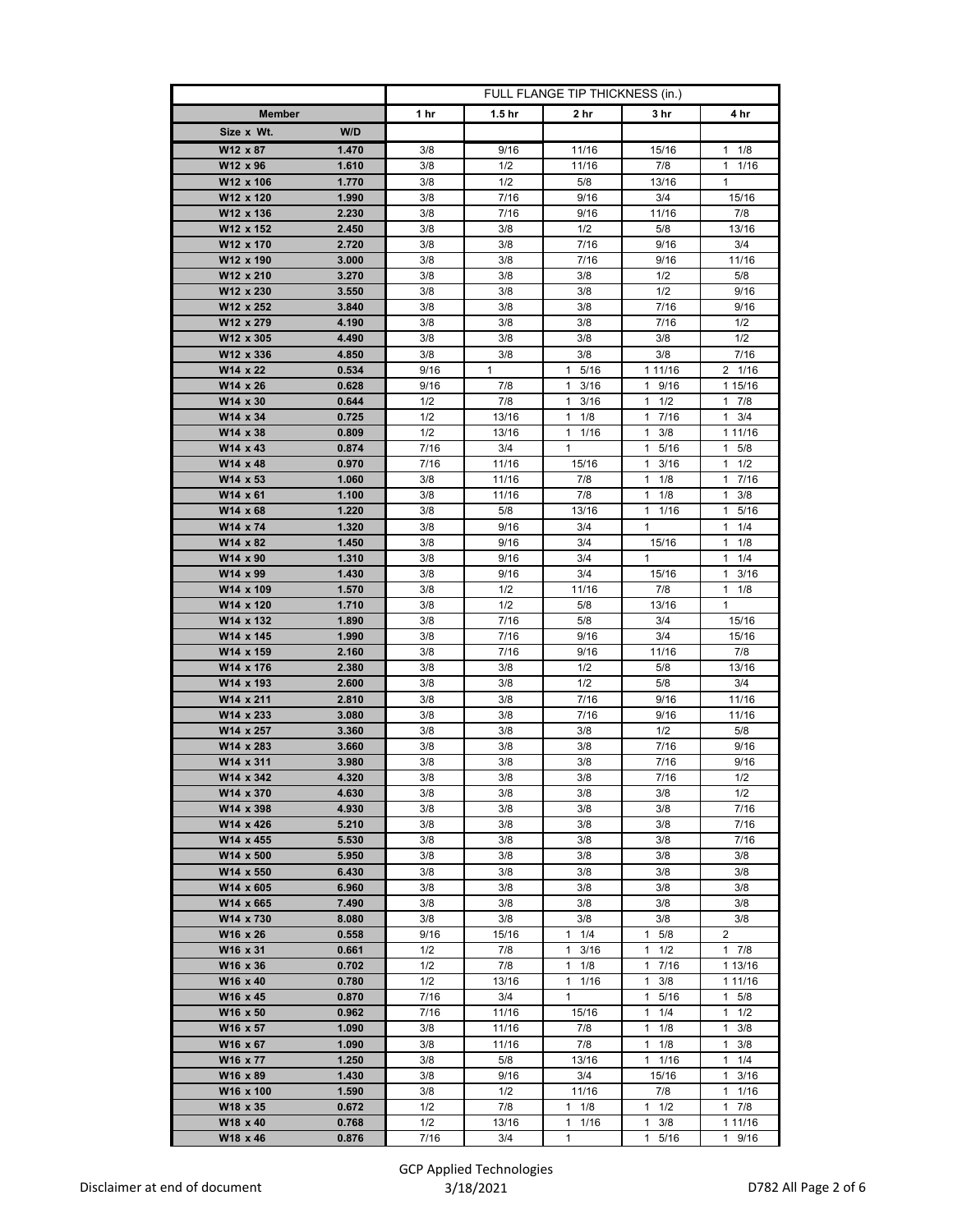|                                          | FULL FLANGE TIP THICKNESS (in.) |                   |                      |                      |                      |
|------------------------------------------|---------------------------------|-------------------|----------------------|----------------------|----------------------|
| <b>Member</b>                            | 1 hr                            | 1.5 <sub>hr</sub> | 2 hr                 | 3 hr                 | 4 hr                 |
| W/D<br>Size x Wt.                        |                                 |                   |                      |                      |                      |
| W12 x 87<br>1.470                        | 3/8                             | 9/16              | 11/16                | 15/16                | $1 \t1/8$            |
| W12 x 96<br>1.610                        | 3/8                             | 1/2               | 11/16                | 7/8                  | $1 \t1/16$           |
| 1.770<br>W12 x 106                       | 3/8                             | 1/2               | 5/8                  | 13/16                | $\mathbf{1}$         |
| W12 x 120<br>1.990                       | 3/8                             | 7/16              | 9/16                 | 3/4                  | 15/16                |
| W12 x 136<br>2.230                       | 3/8                             | 7/16              | 9/16                 | 11/16                | 7/8                  |
| W12 x 152<br>2.450                       | 3/8                             | 3/8               | 1/2                  | 5/8                  | 13/16                |
| W12 x 170<br>2.720                       | 3/8                             | 3/8               | 7/16                 | 9/16                 | 3/4                  |
| W12 x 190<br>3.000                       | 3/8                             | 3/8               | 7/16                 | 9/16                 | 11/16                |
| W12 x 210<br>3.270                       | 3/8                             | 3/8               | 3/8                  | 1/2                  | 5/8                  |
| W12 x 230<br>3.550                       | 3/8                             | 3/8               | 3/8                  | 1/2                  | 9/16                 |
| W12 x 252<br>3.840                       | 3/8                             | 3/8               | 3/8                  | 7/16                 | 9/16                 |
| W12 x 279<br>4.190                       | 3/8                             | 3/8               | 3/8                  | 7/16                 | 1/2                  |
| W12 x 305<br>4.490<br>W12 x 336<br>4.850 | 3/8<br>3/8                      | 3/8<br>3/8        | 3/8<br>3/8           | 3/8<br>3/8           | 1/2<br>7/16          |
| W14 x 22<br>0.534                        | 9/16                            | $\mathbf{1}$      | 5/16<br>$\mathbf{1}$ | 1 11/16              | 2 1/16               |
| W14 x 26<br>0.628                        | 9/16                            | 7/8               | $1 \t3/16$           | 1 9/16               | 1 15/16              |
| W14 x 30<br>0.644                        | 1/2                             | 7/8               | 3/16<br>1            | $1 \t1/2$            | 7/8<br>1             |
| W14 x 34<br>0.725                        | 1/2                             | 13/16             | $1 \t1/8$            | 7/16<br>$\mathbf{1}$ | 3/4<br>$\mathbf{1}$  |
| W14 x 38<br>0.809                        | 1/2                             | 13/16             | 1<br>1/16            | $\mathbf{1}$<br>3/8  | 1 1 1 / 16           |
| W14 x 43<br>0.874                        | 7/16                            | 3/4               | 1                    | 5/16<br>$\mathbf{1}$ | $1 \t5/8$            |
| W14 x 48<br>0.970                        | 7/16                            | 11/16             | 15/16                | 3/16<br>1            | 1/2<br>1             |
| W14 x 53<br>1.060                        | 3/8                             | 11/16             | 7/8                  | $\mathbf{1}$<br>1/8  | $\mathbf{1}$<br>7/16 |
| W14 x 61<br>1.100                        | 3/8                             | 11/16             | 7/8                  | 1/8<br>$\mathbf{1}$  | 3/8<br>$\mathbf{1}$  |
| W14 x 68<br>1.220                        | 3/8                             | 5/8               | 13/16                | 1 1/16               | 1<br>5/16            |
| W14 x 74<br>1.320                        | 3/8                             | 9/16              | 3/4                  | $\mathbf{1}$         | 1/4<br>1             |
| W14 x 82<br>1.450                        | 3/8                             | 9/16              | 3/4                  | 15/16                | 1/8<br>1             |
| W14 x 90<br>1.310                        | 3/8                             | 9/16              | 3/4                  | $\mathbf{1}$         | $1 \t1/4$            |
| W14 x 99<br>1.430                        | 3/8                             | 9/16              | 3/4                  | 15/16                | 3/16<br>1            |
| W14 x 109<br>1.570                       | 3/8                             | 1/2               | 11/16                | 7/8                  | 1/8<br>1             |
| W14 x 120<br>1.710                       | 3/8                             | 1/2               | 5/8                  | 13/16                | $\mathbf{1}$         |
| W14 x 132<br>1.890                       | 3/8                             | 7/16              | 5/8                  | 3/4                  | 15/16                |
| W14 x 145<br>1.990                       | 3/8<br>3/8                      | 7/16<br>7/16      | 9/16<br>9/16         | 3/4<br>11/16         | 15/16<br>7/8         |
| W14 x 159<br>2.160<br>W14 x 176<br>2.380 | 3/8                             | 3/8               | 1/2                  | 5/8                  | 13/16                |
| W14 x 193<br>2.600                       | 3/8                             | 3/8               | 1/2                  | 5/8                  | 3/4                  |
| W14 x 211<br>2.810                       | 3/8                             | 3/8               | 7/16                 | 9/16                 | 11/16                |
| W14 x 233<br>3.080                       | 3/8                             | 3/8               | 7/16                 | 9/16                 | 11/16                |
| W14 x 257<br>3.360                       | 3/8                             | 3/8               | 3/8                  | 1/2                  | 5/8                  |
| W14 x 283<br>3.660                       | 3/8                             | 3/8               | 3/8                  | 7/16                 | 9/16                 |
| W14 x 311<br>3.980                       | 3/8                             | 3/8               | 3/8                  | 7/16                 | 9/16                 |
| W14 x 342<br>4.320                       | 3/8                             | 3/8               | 3/8                  | 7/16                 | 1/2                  |
| W14 x 370<br>4.630                       | 3/8                             | 3/8               | 3/8                  | 3/8                  | 1/2                  |
| W14 x 398<br>4.930                       | 3/8                             | 3/8               | 3/8                  | 3/8                  | 7/16                 |
| 5.210<br>W14 x 426                       | 3/8                             | 3/8               | 3/8                  | 3/8                  | 7/16                 |
| W14 x 455<br>5.530                       | 3/8                             | 3/8               | 3/8                  | 3/8                  | 7/16                 |
| W14 x 500<br>5.950                       | 3/8                             | 3/8               | 3/8                  | 3/8                  | 3/8                  |
| 6.430<br>W14 x 550                       | 3/8                             | 3/8               | 3/8                  | 3/8                  | 3/8                  |
| W14 x 605<br>6.960<br>W14 x 665<br>7.490 | 3/8<br>3/8                      | 3/8<br>3/8        | 3/8<br>3/8           | 3/8                  | 3/8<br>3/8           |
| W14 x 730<br>8.080                       | 3/8                             | 3/8               | 3/8                  | 3/8<br>3/8           | 3/8                  |
| W16 x 26<br>0.558                        | 9/16                            | 15/16             | $1 \t1/4$            | 5/8<br>1             | 2                    |
| W16 x 31<br>0.661                        | 1/2                             | 7/8               | $1 \t3/16$           | $1 \t1/2$            | 17/8                 |
| W16 x 36<br>0.702                        | 1/2                             | 7/8               | $\mathbf{1}$<br>1/8  | 1 7/16               | 1 13/16              |
| W16 x 40<br>0.780                        | 1/2                             | 13/16             | $1 \t1/16$           | 3/8<br>1             | 1 11/16              |
| W16 x 45<br>0.870                        | 7/16                            | 3/4               | $\mathbf{1}$         | 5/16<br>1            | $\mathbf{1}$<br>5/8  |
| W16 x 50<br>0.962                        | 7/16                            | 11/16             | 15/16                | 1<br>1/4             | 1/2<br>1             |
| W16 x 57<br>1.090                        | 3/8                             | 11/16             | 7/8                  | 1<br>1/8             | 1<br>3/8             |
| W16 x 67<br>1.090                        | 3/8                             | 11/16             | 7/8                  | 1/8<br>1             | $\mathbf{1}$<br>3/8  |
| W16 x 77<br>1.250                        | 3/8                             | 5/8               | 13/16                | $1 \t1/16$           | 1/4<br>1             |
| W16 x 89<br>1.430                        | 3/8                             | 9/16              | 3/4                  | 15/16                | 3/16<br>1            |
| W16 x 100<br>1.590                       | 3/8                             | 1/2               | 11/16                | 7/8                  | $\mathbf{1}$<br>1/16 |
| W18 x 35<br>0.672                        | 1/2                             | 7/8               | $1 \t1/8$            | $1 \t1/2$            | 7/8<br>$\mathbf{1}$  |
| W18 x 40<br>0.768                        | 1/2                             | 13/16             | 1/16<br>1            | $1 \t3/8$            | 1 1 1 / 16           |
| W18 x 46<br>0.876                        | 7/16                            | 3/4               | 1                    | 5/16<br>1            | 9/16<br>1            |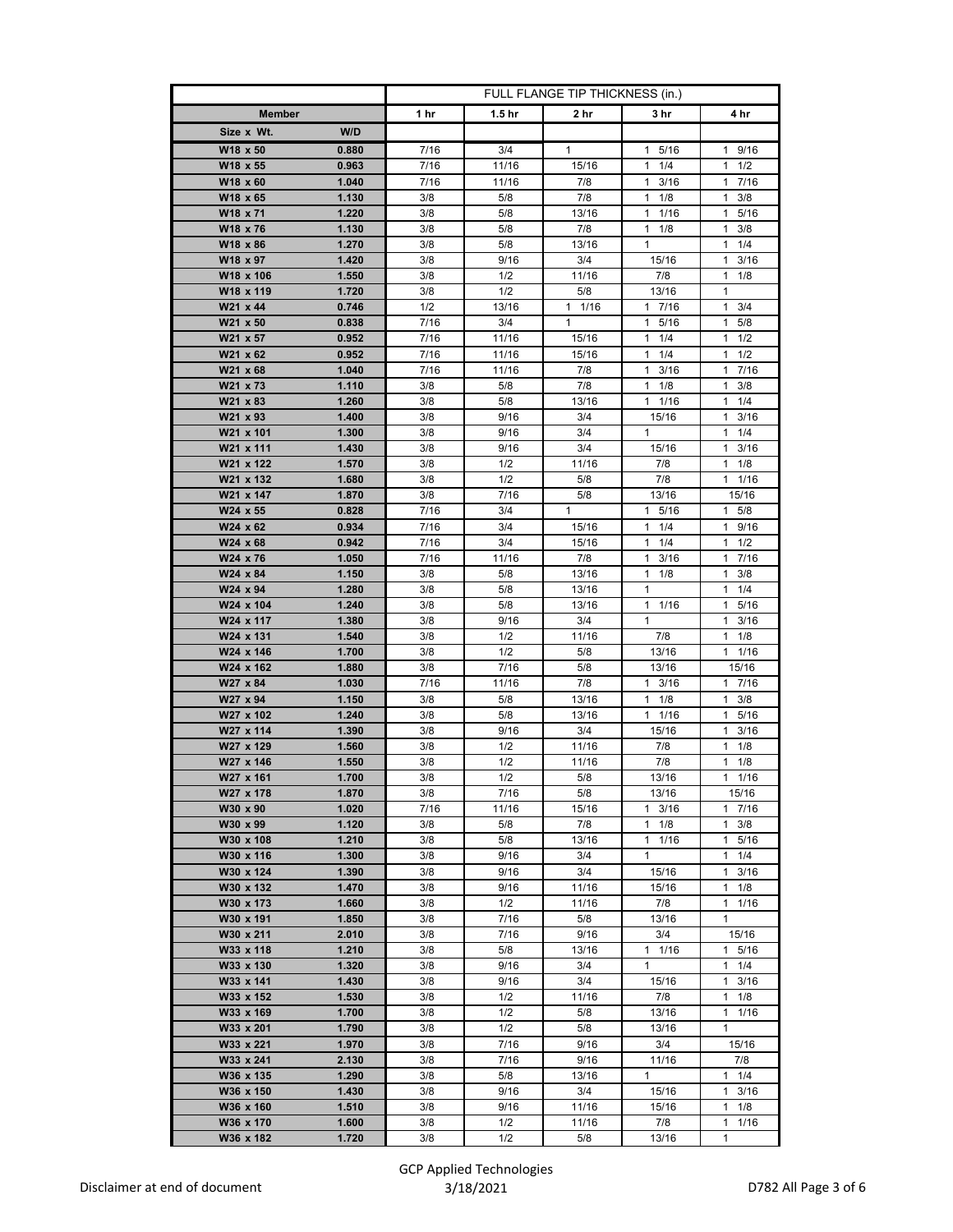|                                          | FULL FLANGE TIP THICKNESS (in.) |                   |                |                            |                                    |
|------------------------------------------|---------------------------------|-------------------|----------------|----------------------------|------------------------------------|
| <b>Member</b>                            | 1 hr                            | 1.5 <sub>hr</sub> | 2 hr           | 3 hr                       | 4 hr                               |
| W/D<br>Size x Wt.                        |                                 |                   |                |                            |                                    |
| W18 x 50<br>0.880                        | 7/16                            | 3/4               | 1              | 1 5/16                     | 1 9/16                             |
| W18 x 55<br>0.963                        | 7/16                            | 11/16             | 15/16          | $1 \t1/4$                  | $1 \t1/2$                          |
| W18 x 60<br>1.040                        | 7/16                            | 11/16             | 7/8            | 3/16<br>$\mathbf{1}$       | 7/16<br>1                          |
| W18 x 65<br>1.130                        | 3/8                             | 5/8               | 7/8            | 1/8<br>1                   | $1 \t3/8$                          |
| W18 x 71<br>1.220                        | 3/8                             | 5/8               | 13/16          | $1 \t1/16$                 | $\mathbf{1}$<br>5/16               |
| W18 x 76<br>1.130                        | 3/8                             | 5/8               | 7/8            | $1 \t1/8$                  | 3/8<br>1.                          |
| W18 x 86<br>1.270                        | 3/8                             | 5/8               | 13/16          | 1                          | 1/4<br>1                           |
| W18 x 97<br>1.420                        | 3/8                             | 9/16              | 3/4            | 15/16                      | 3/16<br>1                          |
| W18 x 106<br>1.550                       | 3/8                             | 1/2               | 11/16          | 7/8                        | $1 \t1/8$                          |
| W18 x 119<br>1.720                       | 3/8                             | 1/2               | 5/8            | 13/16                      | 1                                  |
| W21 x 44<br>0.746                        | 1/2                             | 13/16             | 11/16          | 17/16                      | $\mathbf{1}$<br>3/4                |
| W21 x 50<br>0.838                        | 7/16                            | 3/4               | $\mathbf{1}$   | 1 5/16                     | 5/8<br>1.                          |
| W21 x 57<br>0.952<br>W21 x 62<br>0.952   | 7/16<br>7/16                    | 11/16<br>11/16    | 15/16<br>15/16 | $1 \t1/4$<br>1/4<br>1      | 1/2<br>1.<br>1/2<br>1              |
| W21 x 68<br>1.040                        | 7/16                            | 11/16             | 7/8            | 3/16<br>$\mathbf{1}$       | 7/16<br>1.                         |
| W21 x 73<br>1.110                        | 3/8                             | 5/8               | 7/8            | $1 \t1/8$                  | 3/8<br>1                           |
| W21 x 83<br>1.260                        | 3/8                             | 5/8               | 13/16          | 1 1/16                     | 1/4<br>1.                          |
| W21 x 93<br>1.400                        | 3/8                             | 9/16              | 3/4            | 15/16                      | 3/16<br>1                          |
| W21 x 101<br>1.300                       | 3/8                             | 9/16              | 3/4            | 1                          | 1/4<br>$\mathbf{1}$                |
| W21 x 111<br>1.430                       | 3/8                             | 9/16              | 3/4            | 15/16                      | $1 \t3/16$                         |
| W21 x 122<br>1.570                       | 3/8                             | 1/2               | 11/16          | 7/8                        | $1 \t1/8$                          |
| W21 x 132<br>1.680                       | 3/8                             | 1/2               | 5/8            | 7/8                        | $1/16$<br>$\mathbf{1}$             |
| W21 x 147<br>1.870                       | 3/8                             | 7/16              | 5/8            | 13/16                      | 15/16                              |
| W24 x 55<br>0.828                        | 7/16                            | 3/4               | 1              | 1 5/16                     | $1 \t5/8$                          |
| W24 x 62<br>0.934                        | 7/16                            | 3/4               | 15/16          | $\mathbf{1}$<br>1/4        | 9/16<br>$\mathbf{1}$               |
| W24 x 68<br>0.942                        | 7/16                            | 3/4               | 15/16          | 1/4<br>1                   | 1/2<br>1.                          |
| W24 x 76<br>1.050                        | 7/16                            | 11/16             | 7/8            | $1 \t3/16$                 | 1 7/16                             |
| W24 x 84<br>1.150                        | 3/8                             | 5/8               | 13/16          | 1<br>1/8                   | 3/8<br>1                           |
| W24 x 94<br>1.280                        | 3/8                             | 5/8               | 13/16          | 1                          | 1/4<br>$\mathbf{1}$                |
| W24 x 104<br>1.240<br>W24 x 117<br>1.380 | 3/8<br>3/8                      | 5/8<br>9/16       | 13/16<br>3/4   | $1 \t1/16$<br>$\mathbf{1}$ | 5/16<br>$\mathbf{1}$<br>3/16<br>1. |
| W24 x 131<br>1.540                       | 3/8                             | 1/2               | 11/16          | 7/8                        | $1 \t1/8$                          |
| W24 x 146<br>1.700                       | 3/8                             | 1/2               | 5/8            | 13/16                      | $1 \t1/16$                         |
| W24 x 162<br>1.880                       | 3/8                             | 7/16              | 5/8            | 13/16                      | 15/16                              |
| W27 x 84<br>1.030                        | 7/16                            | 11/16             | 7/8            | $1 \t3/16$                 | 1 7/16                             |
| W27 x 94<br>1.150                        | 3/8                             | 5/8               | 13/16          | $1 \t1/8$                  | $1 \t3/8$                          |
| W27 x 102<br>1.240                       | 3/8                             | 5/8               | 13/16          | $1 \t1/16$                 | 5/16<br>1.                         |
| W27 x 114<br>1.390                       | 3/8                             | 9/16              | 3/4            | 15/16                      | $1 \t3/16$                         |
| W27 x 129<br>1.560                       | 3/8                             | 1/2               | 11/16          | 7/8                        | 1<br>1/8                           |
| W27 x 146<br>1.550                       | 3/8                             | 1/2               | 11/16          | 7/8                        | 1/8<br>1                           |
| W27 x 161<br>1.700                       | 3/8                             | $\overline{1/2}$  | 5/8            | 13/16                      | 11/16                              |
| W27 x 178<br>1.870                       | 3/8                             | 7/16              | 5/8            | 13/16                      | 15/16                              |
| W30 x 90<br>1.020<br>1.120<br>W30 x 99   | 7/16<br>3/8                     | 11/16<br>5/8      | 15/16<br>7/8   | $1 \t3/16$<br>$1 \t1/8$    | 1 7/16<br>3/8<br>1                 |
| W30 x 108<br>1.210                       | 3/8                             | 5/8               | 13/16          | $1 \t1/16$                 | 1 5/16                             |
| W30 x 116<br>1.300                       | 3/8                             | 9/16              | 3/4            | $\mathbf{1}$               | $1 \t1/4$                          |
| 1.390<br>W30 x 124                       | 3/8                             | 9/16              | 3/4            | 15/16                      | 1<br>3/16                          |
| 1.470<br>W30 x 132                       | 3/8                             | 9/16              | 11/16          | 15/16                      | 1/8<br>1.                          |
| W30 x 173<br>1.660                       | 3/8                             | 1/2               | 11/16          | 7/8                        | 1 1/16                             |
| W30 x 191<br>1.850                       | 3/8                             | 7/16              | 5/8            | 13/16                      | 1                                  |
| W30 x 211<br>2.010                       | 3/8                             | 7/16              | 9/16           | 3/4                        | 15/16                              |
| W33 x 118<br>1.210                       | 3/8                             | 5/8               | 13/16          | $1 \t1/16$                 | 1 5/16                             |
| W33 x 130<br>1.320                       | 3/8                             | 9/16              | 3/4            | $\mathbf{1}$               | 1<br>1/4                           |
| W33 x 141<br>1.430                       | 3/8                             | 9/16              | 3/4            | 15/16                      | 1<br>3/16                          |
| W33 x 152<br>1.530                       | 3/8                             | 1/2               | 11/16          | 7/8                        | $1 \t1/8$                          |
| W33 x 169<br>1.700                       | 3/8                             | 1/2               | 5/8            | 13/16                      | 1<br>1/16                          |
| W33 x 201<br>1.790                       | 3/8                             | 1/2               | 5/8            | 13/16                      | 1                                  |
| W33 x 221<br>1.970                       | 3/8                             | 7/16              | 9/16           | 3/4                        | 15/16                              |
| W33 x 241<br>2.130                       | 3/8                             | 7/16              | 9/16           | 11/16                      | 7/8                                |
| W36 x 135<br>1.290<br>W36 x 150<br>1.430 | 3/8<br>3/8                      | 5/8<br>9/16       | 13/16<br>3/4   | $\mathbf{1}$<br>15/16      | $1 \t1/4$<br>1<br>3/16             |
| W36 x 160<br>1.510                       | 3/8                             | 9/16              | 11/16          | 15/16                      | 1/8<br>1.                          |
| W36 x 170<br>1.600                       | 3/8                             | 1/2               | 11/16          | 7/8                        | 1.<br>1/16                         |
| W36 x 182<br>1.720                       | 3/8                             | 1/2               | 5/8            | 13/16                      | 1                                  |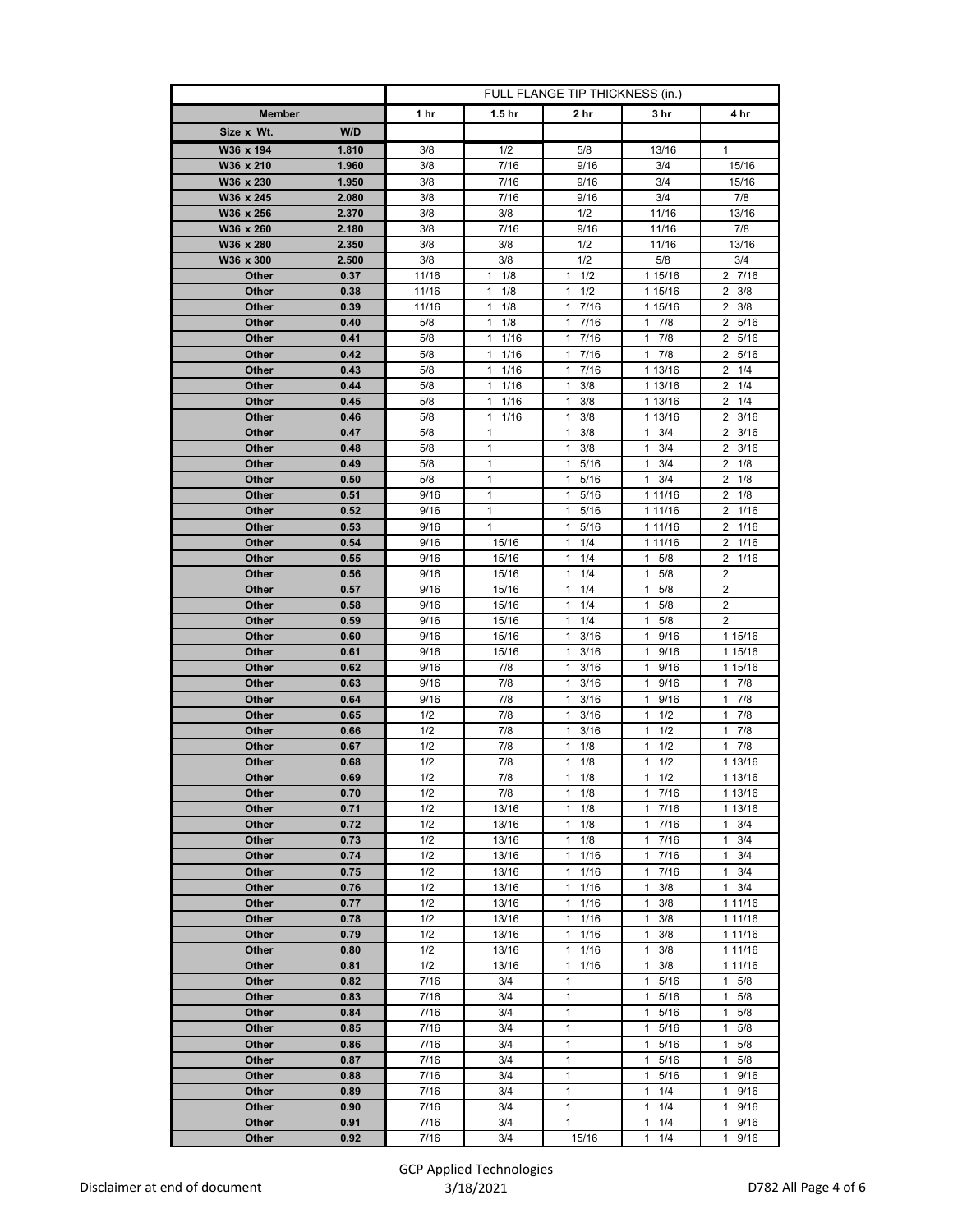|                |              | FULL FLANGE TIP THICKNESS (in.) |                        |                                   |                           |                                    |
|----------------|--------------|---------------------------------|------------------------|-----------------------------------|---------------------------|------------------------------------|
| <b>Member</b>  |              | 1 hr                            | 1.5 <sub>hr</sub>      | 2 hr                              | 3 hr                      | 4 hr                               |
| Size x Wt.     | W/D          |                                 |                        |                                   |                           |                                    |
| W36 x 194      | 1.810        | 3/8                             | 1/2                    | 5/8                               | 13/16                     | 1                                  |
| W36 x 210      | 1.960        | 3/8                             | 7/16                   | 9/16                              | 3/4                       | 15/16                              |
| W36 x 230      | 1.950        | 3/8                             | 7/16                   | 9/16                              | 3/4                       | 15/16                              |
| W36 x 245      | 2.080        | 3/8                             | 7/16                   | 9/16                              | 3/4                       | 7/8                                |
| W36 x 256      | 2.370        | 3/8                             | 3/8                    | 1/2                               | 11/16                     | 13/16                              |
| W36 x 260      | 2.180        | 3/8                             | 7/16                   | 9/16                              | 11/16                     | 7/8                                |
| W36 x 280      | 2.350        | 3/8                             | 3/8                    | 1/2                               | 11/16                     | 13/16                              |
| W36 x 300      | 2.500        | 3/8                             | 3/8                    | 1/2                               | 5/8                       | 3/4                                |
| Other          | 0.37         | 11/16                           | 1/8<br>1               | 1/2<br>1                          | 1 15/16                   | 2 7/16                             |
| Other          | 0.38         | 11/16                           | 1/8<br>1               | 1/2<br>1                          | 1 15/16                   | $2 \frac{3}{8}$                    |
| Other          | 0.39         | 11/16                           | 1<br>1/8               | 7/16<br>1                         | 1 15/16                   | $\overline{2}$<br>3/8              |
| Other          | 0.40         | 5/8                             | 1<br>1/8               | $\mathbf{1}$<br>7/16              | $1 \t7/8$                 | 5/16<br>$\mathbf{2}$               |
| Other          | 0.41         | 5/8                             | 1/16<br>1              | 7/16<br>$\mathbf{1}$              | 17/8                      | $\overline{2}$<br>5/16             |
| Other<br>Other | 0.42<br>0.43 | 5/8<br>5/8                      | 1/16<br>1<br>1<br>1/16 | 7/16<br>$\mathbf{1}$<br>1<br>7/16 | $1 \t7/8$<br>1 13/16      | $\overline{2}$<br>5/16<br>1/4<br>2 |
| Other          | 0.44         | 5/8                             | 1/16<br>1              | 1<br>3/8                          | 1 13/16                   | 2<br>1/4                           |
| Other          | 0.45         | 5/8                             | 1/16<br>1              | 3/8<br>$\mathbf{1}$               | 1 13/16                   | $2 \t1/4$                          |
| Other          | 0.46         | 5/8                             | 1<br>1/16              | 1<br>3/8                          | 1 13/16                   | $\mathbf{2}$<br>3/16               |
| Other          | 0.47         | 5/8                             | 1                      | 1<br>3/8                          | 1<br>3/4                  | $\overline{2}$<br>3/16             |
| Other          | 0.48         | 5/8                             | 1                      | 3/8<br>1                          | 3/4<br>1                  | 3/16<br>$\mathbf{2}$               |
| Other          | 0.49         | 5/8                             | 1                      | 5/16<br>1                         | 3/4<br>1                  | 1/8<br>$\overline{2}$              |
| Other          | 0.50         | 5/8                             | 1                      | 1<br>5/16                         | 1<br>3/4                  | 2<br>1/8                           |
| Other          | 0.51         | 9/16                            | 1                      | 5/16<br>1                         | 1 11/16                   | $\mathbf{2}^{\circ}$<br>1/8        |
| Other          | 0.52         | 9/16                            | 1                      | $\mathbf{1}$<br>5/16              | 1 11/16                   | $\overline{2}$<br>1/16             |
| Other          | 0.53         | 9/16                            | 1                      | 5/16<br>$\mathbf{1}$              | 1 11/16                   | 2<br>1/16                          |
| Other          | 0.54         | 9/16                            | 15/16                  | 1/4<br>1                          | 1 11/16                   | 1/16<br>2                          |
| Other          | 0.55         | 9/16                            | 15/16                  | 1/4<br>1                          | $\mathbf{1}$<br>5/8       | 2<br>1/16                          |
| Other          | 0.56         | 9/16                            | 15/16                  | $\mathbf{1}$<br>1/4               | 5/8<br>$\mathbf{1}$       | $\overline{\mathbf{c}}$            |
| Other          | 0.57         | 9/16                            | 15/16                  | 1<br>1/4                          | 1<br>5/8                  | 2                                  |
| Other          | 0.58         | 9/16                            | 15/16                  | 1/4<br>1                          | $\mathbf{1}$<br>5/8       | $\overline{2}$                     |
| Other          | 0.59         | 9/16                            | 15/16                  | 1/4<br>$\mathbf{1}$               | 5/8<br>$\mathbf{1}$       | 2                                  |
| Other          | 0.60         | 9/16                            | 15/16                  | 1<br>3/16                         | 9/16<br>$\mathbf{1}$      | 1 15/16                            |
| Other          | 0.61<br>0.62 | 9/16                            | 15/16                  | 3/16<br>1<br>1                    | 1<br>9/16<br>$\mathbf{1}$ | 1 15/16                            |
| Other<br>Other | 0.63         | 9/16<br>9/16                    | 7/8<br>7/8             | 3/16<br>$\mathbf{1}$<br>3/16      | 9/16<br>9/16<br>1         | 1 15/16<br>$1 \t7/8$               |
| Other          | 0.64         | 9/16                            | 7/8                    | 1<br>3/16                         | 1<br>9/16                 | 1<br>7/8                           |
| Other          | 0.65         | 1/2                             | 7/8                    | 3/16<br>1                         | 1<br>1/2                  | 7/8<br>$\mathbf{1}$                |
| Other          | 0.66         | 1/2                             | 7/8                    | 1<br>3/16                         | 1<br>1/2                  | 7/8<br>$\mathbf{1}$                |
| Other          | 0.67         | 1/2                             | 7/8                    | 1/8<br>1                          | 1/2<br>1                  | 7/8<br>1                           |
| Other          | 0.68         | 1/2                             | 7/8                    | 1<br>1/8                          | 1<br>1/2                  | 1 13/16                            |
| Other          | 0.69         | 1/2                             | 7/8                    | 1/8<br>1                          | 1/2<br>1                  | 1 13/16                            |
| Other          | 0.70         | 1/2                             | 7/8                    | 1/8<br>$\mathbf{1}$               | 17/16                     | 1 13/16                            |
| Other          | 0.71         | 1/2                             | 13/16                  | 1<br>1/8                          | 17/16                     | 1 13/16                            |
| Other          | 0.72         | 1/2                             | 13/16                  | 1<br>1/8                          | 17/16                     | $\mathbf{1}$<br>3/4                |
| Other          | 0.73         | 1/2                             | 13/16                  | 1/8<br>1                          | 7/16<br>1                 | 3/4<br>1                           |
| Other          | 0.74         | 1/2                             | 13/16                  | $\mathbf{1}$<br>1/16              | 17/16                     | 3/4<br>$\mathbf{1}$                |
| Other          | 0.75         | 1/2                             | 13/16                  | 1<br>1/16                         | 1<br>7/16                 | 1<br>3/4                           |
| Other          | 0.76         | 1/2                             | 13/16                  | 1/16<br>$\mathbf{1}$              | 3/8<br>1                  | 3/4<br>$\mathbf{1}$                |
| Other          | 0.77         | 1/2                             | 13/16                  | 1/16<br>$\mathbf{1}$              | 3/8<br>$\mathbf{1}$       | 1 11/16                            |
| Other          | 0.78         | 1/2                             | 13/16                  | $\mathbf{1}$<br>1/16              | 1<br>3/8                  | 1 11/16                            |
| Other<br>Other | 0.79<br>0.80 | 1/2<br>1/2                      | 13/16<br>13/16         | 1/16<br>1<br>$\mathbf{1}$<br>1/16 | 1<br>3/8<br>3/8<br>1      | 1 11/16<br>1 11/16                 |
| Other          | 0.81         | 1/2                             | 13/16                  | $\mathbf{1}$<br>1/16              | $\mathbf{1}$<br>3/8       | 1 11/16                            |
| Other          | 0.82         | 7/16                            | 3/4                    | 1                                 | 5/16<br>1                 | 5/8<br>1.                          |
| Other          | 0.83         | 7/16                            | 3/4                    | $\mathbf{1}$                      | $\mathbf{1}$<br>5/16      | $\mathbf{1}$<br>5/8                |
| Other          | 0.84         | 7/16                            | 3/4                    | $\mathbf{1}$                      | 1 5/16                    | 5/8<br>1                           |
| Other          | 0.85         | 7/16                            | 3/4                    | 1                                 | 5/16<br>1                 | 5/8<br>1                           |
| Other          | 0.86         | 7/16                            | 3/4                    | 1                                 | $\mathbf{1}$<br>5/16      | 1<br>5/8                           |
| Other          | 0.87         | 7/16                            | 3/4                    | $\mathbf{1}$                      | 5/16<br>$\mathbf{1}$      | 5/8<br>1                           |
| Other          | 0.88         | 7/16                            | 3/4                    | 1                                 | 1 5/16                    | 9/16<br>$\mathbf{1}$               |
| Other          | 0.89         | 7/16                            | 3/4                    | 1                                 | 1<br>1/4                  | 9/16<br>1                          |
| Other          | 0.90         | 7/16                            | 3/4                    | $\mathbf{1}$                      | $\mathbf{1}$<br>1/4       | 9/16<br>$\mathbf{1}$               |
| Other          | 0.91         | 7/16                            | 3/4                    | $\mathbf{1}$                      | 1/4<br>1                  | 9/16<br>$\mathbf{1}$               |
| Other          | 0.92         | 7/16                            | 3/4                    | 15/16                             | 1<br>1/4                  | 1<br>9/16                          |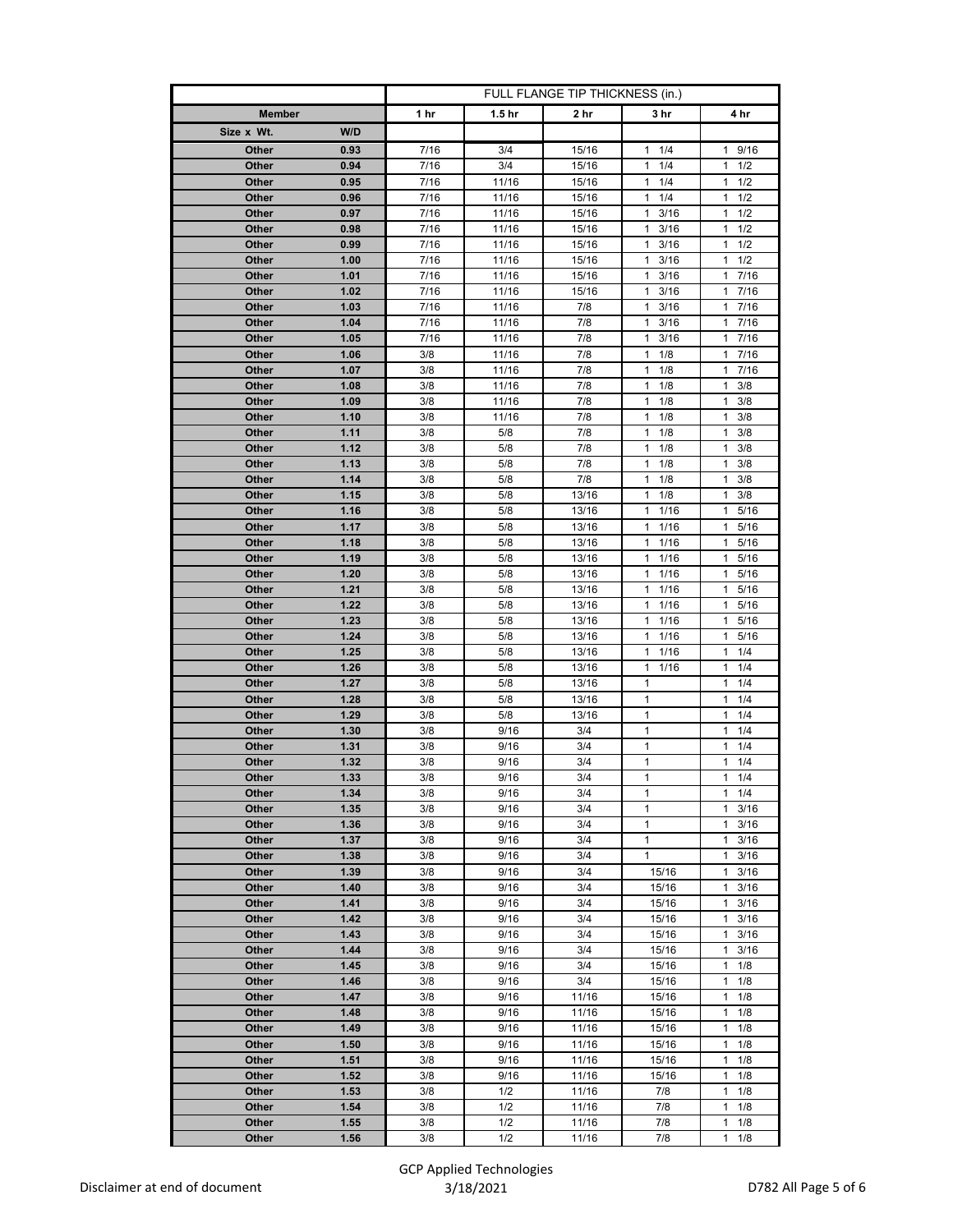|                |              | FULL FLANGE TIP THICKNESS (in.) |                   |                |                        |                                   |
|----------------|--------------|---------------------------------|-------------------|----------------|------------------------|-----------------------------------|
| <b>Member</b>  |              | 1 hr                            | 1.5 <sub>hr</sub> | 2 hr           | 3 hr                   | 4 hr                              |
| Size x Wt.     | W/D          |                                 |                   |                |                        |                                   |
| Other          | 0.93         | 7/16                            | 3/4               | 15/16          | 11/4                   | 9/16<br>$\mathbf{1}$              |
| Other          | 0.94         | 7/16                            | 3/4               | 15/16          | 1/4<br>$\mathbf{1}$    | 1/2<br>$\mathbf{1}$               |
| Other          | 0.95         | 7/16                            | 11/16             | 15/16          | $\mathbf{1}$<br>1/4    | 1/2<br>1                          |
| Other          | 0.96         | 7/16                            | 11/16             | 15/16          | 1/4<br>1               | 1<br>1/2                          |
| Other          | 0.97         | 7/16                            | 11/16             | 15/16          | $\overline{1}$<br>3/16 | $\mathbf{1}$<br>1/2               |
| Other          | 0.98         | 7/16                            | 11/16             | 15/16          | 3/16<br>$\mathbf{1}$   | 1/2<br>1                          |
| Other          | 0.99         | 7/16                            | 11/16             | 15/16          | $1 \t3/16$             | 1<br>1/2                          |
| Other          | 1.00         | 7/16                            | 11/16             | 15/16          | $\mathbf{1}$<br>3/16   | 1/2<br>1                          |
| Other          | 1.01         | 7/16                            | 11/16             | 15/16          | 3/16<br>1              | 7/16<br>1                         |
| Other          | 1.02         | 7/16                            | 11/16             | 15/16          | 3/16<br>$\mathbf{1}$   | 7/16<br>1                         |
| Other          | 1.03         | 7/16                            | 11/16             | 7/8            | 1<br>3/16              | 1<br>7/16                         |
| Other          | 1.04         | 7/16                            | 11/16             | 7/8            | $\mathbf{1}$<br>3/16   | $\mathbf{1}$<br>7/16              |
| Other          | 1.05         | 7/16                            | 11/16             | 7/8            | 1<br>3/16              | 7/16<br>1                         |
| Other<br>Other | 1.06<br>1.07 | 3/8<br>3/8                      | 11/16<br>11/16    | 7/8<br>7/8     | 1/8<br>1<br>1<br>1/8   | 7/16<br>1<br>$\mathbf{1}$<br>7/16 |
| Other          | 1.08         | 3/8                             | 11/16             | 7/8            | 1/8<br>1               | $\mathbf{1}$<br>3/8               |
| Other          | 1.09         | 3/8                             | 11/16             | 7/8            | 1/8<br>$\mathbf{1}$    | 3/8<br>1                          |
| Other          | 1.10         | 3/8                             | 11/16             | 7/8            | 1<br>1/8               | 1<br>3/8                          |
| Other          | 1.11         | 3/8                             | 5/8               | 7/8            | $\mathbf{1}$<br>1/8    | $\mathbf{1}$<br>3/8               |
| Other          | 1.12         | 3/8                             | 5/8               | 7/8            | 1/8<br>1               | 3/8<br>1                          |
| Other          | 1.13         | 3/8                             | 5/8               | 7/8            | 1/8<br>1               | 3/8<br>$\mathbf{1}$               |
| Other          | 1.14         | 3/8                             | 5/8               | 7/8            | 1<br>1/8               | 1<br>3/8                          |
| Other          | 1.15         | 3/8                             | 5/8               | 13/16          | 1/8<br>1               | 3/8<br>1                          |
| Other          | 1.16         | 3/8                             | 5/8               | 13/16          | $\mathbf{1}$<br>1/16   | 5/16<br>$\mathbf{1}$              |
| Other          | 1.17         | 3/8                             | 5/8               | 13/16          | 1/16<br>1              | 1<br>5/16                         |
| Other          | 1.18         | 3/8                             | 5/8               | 13/16          | 1/16<br>1              | 1<br>5/16                         |
| Other          | 1.19         | 3/8                             | 5/8               | 13/16          | 1/16<br>1              | $\mathbf{1}$<br>5/16              |
| Other          | 1.20         | 3/8                             | 5/8               | 13/16          | $\mathbf{1}$<br>1/16   | 5/16<br>1                         |
| Other          | 1.21         | 3/8                             | 5/8               | 13/16          | 1/16<br>1              | 5/16<br>1                         |
| Other          | 1.22         | 3/8                             | 5/8               | 13/16          | $\overline{1}$<br>1/16 | $\mathbf{1}$<br>5/16              |
| Other          | 1.23         | 3/8                             | 5/8               | 13/16          | $1 \t1/16$             | 1<br>5/16                         |
| Other          | 1.24         | 3/8                             | 5/8               | 13/16          | $1 \t1/16$             | 5/16<br>1                         |
| Other          | 1.25         | 3/8                             | 5/8               | 13/16          | $\mathbf{1}$<br>1/16   | 1<br>1/4                          |
| Other          | 1.26<br>1.27 | 3/8                             | 5/8               | 13/16          | 1/16<br>1<br>1         | 1/4<br>1<br>1/4<br>1              |
| Other<br>Other | 1.28         | 3/8<br>3/8                      | 5/8<br>5/8        | 13/16<br>13/16 | $\mathbf{1}$           | 1/4<br>1                          |
| Other          | 1.29         | 3/8                             | 5/8               | 13/16          | $\mathbf{1}$           | 1/4<br>1                          |
| Other          | 1.30         | 3/8                             | 9/16              | 3/4            | $\mathbf{1}$           | $\mathbf{1}$<br>1/4               |
| Other          | 1.31         | 3/8                             | 9/16              | 3/4            | 1                      | 1/4<br>1                          |
| Other          | 1.32         | 3/8                             | 9/16              | 3/4            | $\mathbf{1}$           | 1/4<br>1                          |
| Other          | 1.33         | 3/8                             | 9/16              | 3/4            | 1                      | 1/4<br>$\mathbf{1}$               |
| Other          | 1.34         | 3/8                             | 9/16              | 3/4            | 1                      | $1 \t1/4$                         |
| Other          | 1.35         | 3/8                             | 9/16              | 3/4            | $\mathbf{1}$           | 3/16<br>1                         |
| Other          | 1.36         | 3/8                             | 9/16              | 3/4            | $\mathbf{1}$           | $\mathbf{1}$<br>3/16              |
| Other          | 1.37         | 3/8                             | 9/16              | 3/4            | 1                      | 3/16<br>1                         |
| Other          | 1.38         | 3/8                             | 9/16              | 3/4            | 1                      | 3/16<br>1                         |
| Other          | 1.39         | 3/8                             | 9/16              | 3/4            | 15/16                  | 1<br>3/16                         |
| Other          | 1.40         | 3/8                             | 9/16              | 3/4            | 15/16                  | 3/16<br>1                         |
| Other          | 1.41         | 3/8                             | 9/16              | 3/4            | 15/16                  | $\mathbf{1}$<br>3/16              |
| Other          | 1.42         | 3/8                             | 9/16              | 3/4            | 15/16                  | 1<br>3/16                         |
| Other          | 1.43         | 3/8                             | 9/16              | 3/4            | 15/16                  | 1<br>3/16                         |
| Other          | 1.44         | 3/8                             | 9/16              | 3/4            | 15/16                  | 3/16<br>$\mathbf{1}$              |
| Other<br>Other | 1.45<br>1.46 | 3/8<br>3/8                      | 9/16<br>9/16      | 3/4<br>3/4     | 15/16<br>15/16         | 1<br>1/8<br>1/8<br>1              |
| Other          | 1.47         | 3/8                             | 9/16              | 11/16          | 15/16                  | 1<br>1/8                          |
| Other          | 1.48         | 3/8                             | 9/16              | 11/16          | 15/16                  | 1/8<br>1                          |
| Other          | 1.49         | 3/8                             | 9/16              | 11/16          | 15/16                  | 1/8<br>1                          |
| Other          | 1.50         | 3/8                             | 9/16              | 11/16          | 15/16                  | $\mathbf{1}$<br>1/8               |
| Other          | 1.51         | 3/8                             | 9/16              | 11/16          | 15/16                  | 1/8<br>1                          |
| Other          | 1.52         | 3/8                             | 9/16              | 11/16          | 15/16                  | 1/8<br>1                          |
| Other          | 1.53         | 3/8                             | 1/2               | 11/16          | 7/8                    | 1/8<br>1                          |
| Other          | 1.54         | 3/8                             | 1/2               | 11/16          | 7/8                    | 1/8<br>1                          |
| Other          | 1.55         | 3/8                             | 1/2               | 11/16          | 7/8                    | 1/8<br>1                          |
| Other          | 1.56         | 3/8                             | 1/2               | 11/16          | 7/8                    | 1/8<br>1                          |